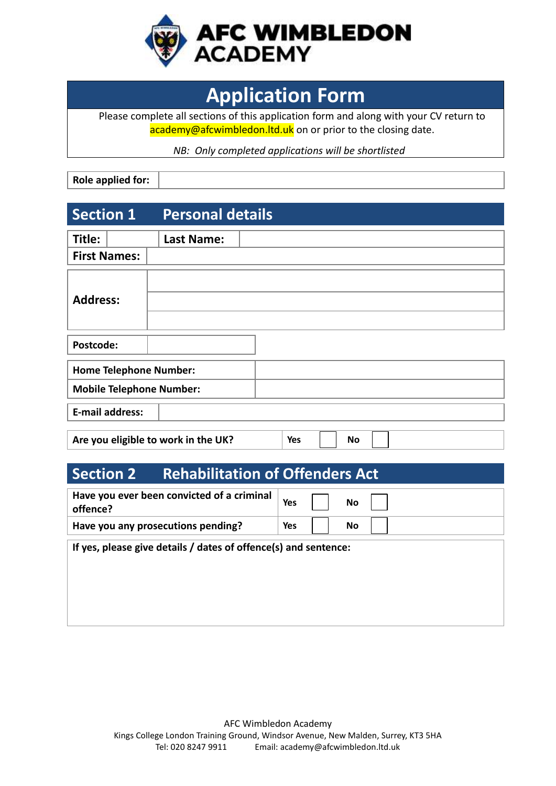

# **Application Form**

Please complete all sections of this application form and along with your CV return to academy@afcwimbledon.ltd.uk on or prior to the closing date.

*NB: Only completed applications will be shortlisted*

| Role applied for: |  |  |
|-------------------|--|--|
|-------------------|--|--|

| <b>Section 1</b>                | <b>Personal details</b>                                        |
|---------------------------------|----------------------------------------------------------------|
| Title:                          | <b>Last Name:</b>                                              |
| <b>First Names:</b>             |                                                                |
| <b>Address:</b>                 |                                                                |
| Postcode:                       |                                                                |
| <b>Home Telephone Number:</b>   |                                                                |
| <b>Mobile Telephone Number:</b> |                                                                |
| <b>E-mail address:</b>          |                                                                |
|                                 | Are you eligible to work in the UK?<br><b>Yes</b><br><b>No</b> |

# **Section 2 Rehabilitation of Offenders Act**

| Have you ever been convicted of a criminal<br>offence? | Yes | No |  |
|--------------------------------------------------------|-----|----|--|
| Have you any prosecutions pending?                     | Yes | No |  |

**If yes, please give details / dates of offence(s) and sentence:**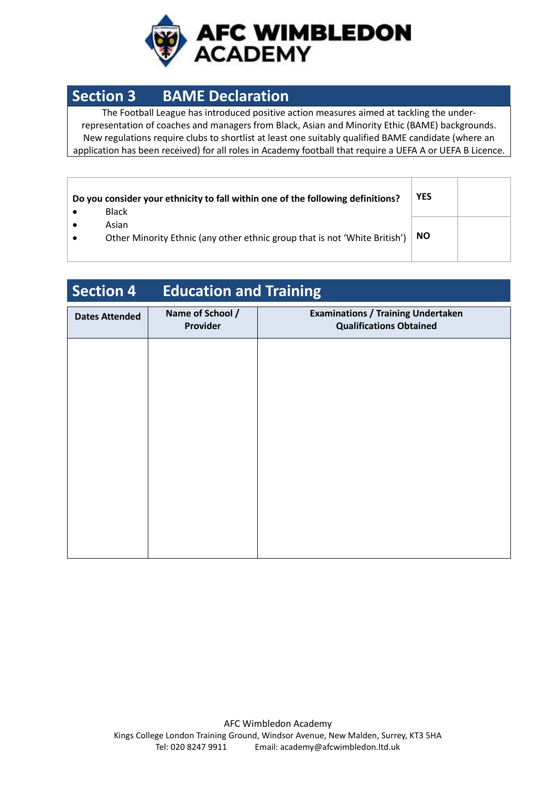

### **Section 3 BAME Declaration**

The Football League has introduced positive action measures aimed at tackling the underrepresentation of coaches and managers from Black, Asian and Minority Ethic (BAME) backgrounds. New regulations require clubs to shortlist at least one suitably qualified BAME candidate (where an application has been received) for all roles in Academy football that require a UEFA A or UEFA B Licence.

|           | Do you consider your ethnicity to fall within one of the following definitions?<br><b>Black</b> | <b>YES</b> |  |
|-----------|-------------------------------------------------------------------------------------------------|------------|--|
| $\bullet$ | Asian<br>Other Minority Ethnic (any other ethnic group that is not 'White British')             | <b>NO</b>  |  |

| <b>Section 4</b>      | <b>Education and Training</b> |                                                                             |
|-----------------------|-------------------------------|-----------------------------------------------------------------------------|
| <b>Dates Attended</b> | Name of School /<br>Provider  | <b>Examinations / Training Undertaken</b><br><b>Qualifications Obtained</b> |
|                       |                               |                                                                             |
|                       |                               |                                                                             |
|                       |                               |                                                                             |
|                       |                               |                                                                             |
|                       |                               |                                                                             |
|                       |                               |                                                                             |
|                       |                               |                                                                             |
|                       |                               |                                                                             |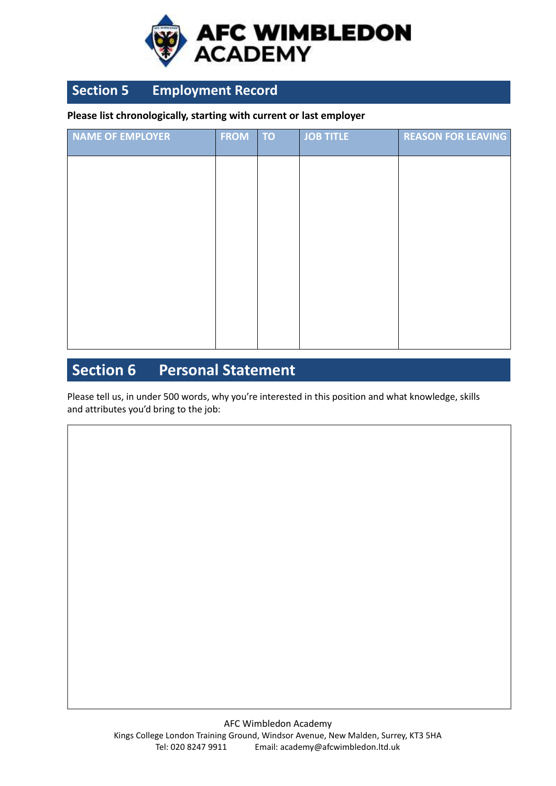

### **Section 5 Employment Record**

#### **Please list chronologically, starting with current or last employer**

| NAME OF EMPLOYER | <b>FROM</b> | <b>TO</b> | <b>JOB TITLE</b> | <b>REASON FOR LEAVING</b> |
|------------------|-------------|-----------|------------------|---------------------------|
|                  |             |           |                  |                           |
|                  |             |           |                  |                           |
|                  |             |           |                  |                           |
|                  |             |           |                  |                           |
|                  |             |           |                  |                           |
|                  |             |           |                  |                           |
|                  |             |           |                  |                           |

# **Section 6 Personal Statement**

Please tell us, in under 500 words, why you're interested in this position and what knowledge, skills and attributes you'd bring to the job: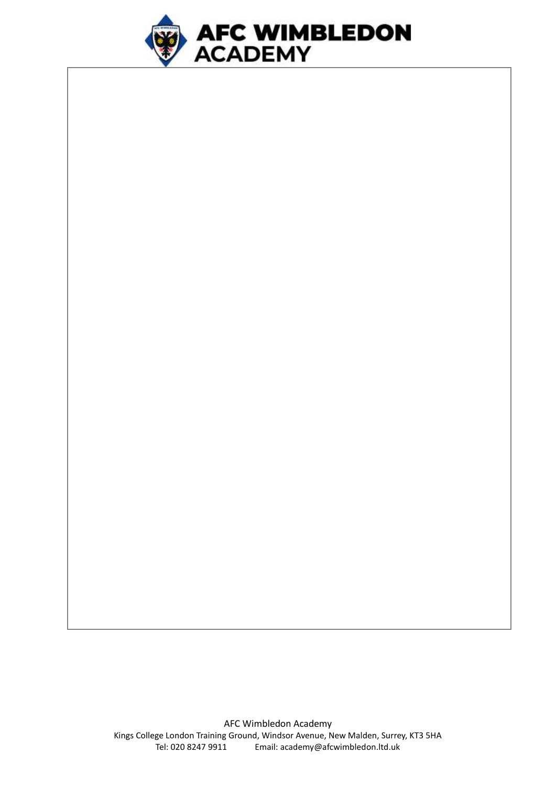

AFC Wimbledon Academy Kings College London Training Ground, Windsor Avenue, New Malden, Surrey, KT3 5HA Tel: 020 8247 9911 Email: academy@afcwimbledon.ltd.uk